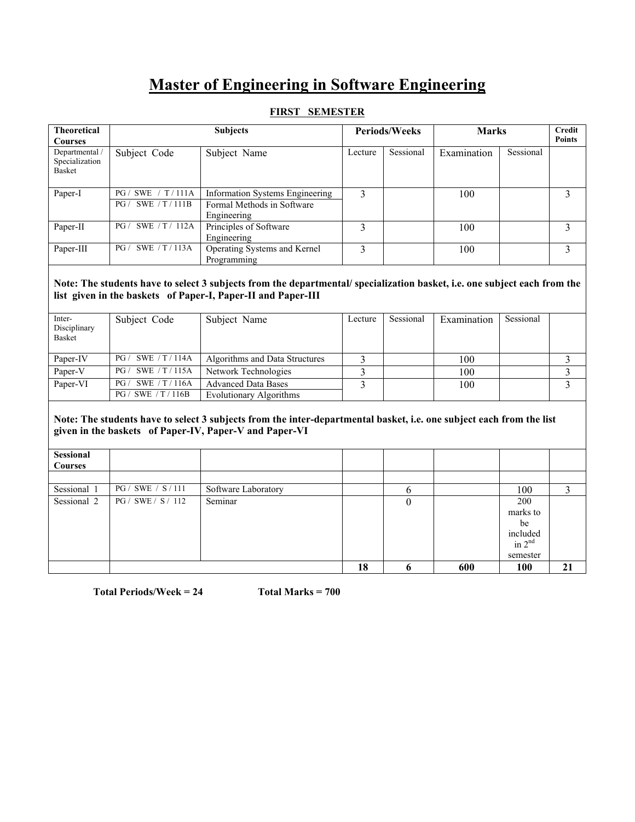# **Master of Engineering in Software Engineering**

### **FIRST SEMESTER**

| <b>Theoretical</b><br><b>Courses</b>       |                                                | <b>Subjects</b>                                                              | <b>Periods/Weeks</b> |           | <b>Marks</b> |           | Credit<br><b>Points</b> |
|--------------------------------------------|------------------------------------------------|------------------------------------------------------------------------------|----------------------|-----------|--------------|-----------|-------------------------|
| Departmental /<br>Specialization<br>Basket | Subject Code                                   | Subject Name                                                                 | Lecture              | Sessional | Examination  | Sessional |                         |
| Paper-I                                    | SWE $/ T / 111A$<br>PG/<br>SWE / T/111B<br>PG/ | Information Systems Engineering<br>Formal Methods in Software<br>Engineering | 3                    |           | 100          |           | 3                       |
| Paper-II                                   | SWE / T/ 112A<br>PG/                           | Principles of Software<br>Engineering                                        |                      |           | 100          |           |                         |
| Paper-III                                  | SWE / T/113A<br>PG/                            | Operating Systems and Kernel<br>Programming                                  | 3                    |           | 100          |           | 3                       |

#### **Note: The students have to select 3 subjects from the departmental/ specialization basket, i.e. one subject each from the list given in the baskets of Paper-I, Paper-II and Paper-III**

| Inter-<br>Disciplinary<br>Basket | Subject Code          | Subject Name                   | Lecture | Sessional | Examination | Sessional |  |
|----------------------------------|-----------------------|--------------------------------|---------|-----------|-------------|-----------|--|
| Paper-IV                         | PG/ SWE / T/114A      | Algorithms and Data Structures |         |           | 100         |           |  |
| Paper-V                          | PG / SWE / T / 115A   | Network Technologies           |         |           | 100         |           |  |
| Paper-VI                         | SWE / T / 116A<br>PG/ | <b>Advanced Data Bases</b>     |         |           | 100         |           |  |
|                                  | PG / SWE / T / 116B   | Evolutionary Algorithms        |         |           |             |           |  |

#### **Note: The students have to select 3 subjects from the inter-departmental basket, i.e. one subject each from the list given in the baskets of Paper-IV, Paper-V and Paper-VI**

| Sessional<br><b>Courses</b> |                    |                     |    |   |     |                                                           |    |
|-----------------------------|--------------------|---------------------|----|---|-----|-----------------------------------------------------------|----|
|                             |                    |                     |    |   |     |                                                           |    |
| Sessional 1                 | PG / SWE / S / 111 | Software Laboratory |    | 6 |     | 100                                                       |    |
| Sessional 2                 | PG / SWE / S / 112 | Seminar             |    | 0 |     | 200<br>marks to<br>be<br>included<br>in $2nd$<br>semester |    |
|                             |                    |                     | 18 | o | 600 | <b>100</b>                                                | 21 |

**Total Periods/Week = 24 Total Marks = 700**